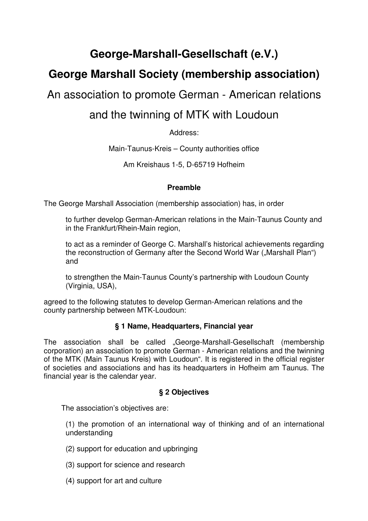# **George-Marshall-Gesellschaft (e.V.)**

# **George Marshall Society (membership association)**

# An association to promote German - American relations

# and the twinning of MTK with Loudoun

Address:

Main-Taunus-Kreis – County authorities office

Am Kreishaus 1-5, D-65719 Hofheim

# **Preamble**

The George Marshall Association (membership association) has, in order

to further develop German-American relations in the Main-Taunus County and in the Frankfurt/Rhein-Main region,

to act as a reminder of George C. Marshall's historical achievements regarding the reconstruction of Germany after the Second World War ("Marshall Plan") and

to strengthen the Main-Taunus County's partnership with Loudoun County (Virginia, USA),

agreed to the following statutes to develop German-American relations and the county partnership between MTK-Loudoun:

# **§ 1 Name, Headquarters, Financial year**

The association shall be called "George-Marshall-Gesellschaft (membership corporation) an association to promote German - American relations and the twinning of the MTK (Main Taunus Kreis) with Loudoun". It is registered in the official register of societies and associations and has its headquarters in Hofheim am Taunus. The financial year is the calendar year.

# **§ 2 Objectives**

The association's objectives are:

(1) the promotion of an international way of thinking and of an international understanding

- (2) support for education and upbringing
- (3) support for science and research
- (4) support for art and culture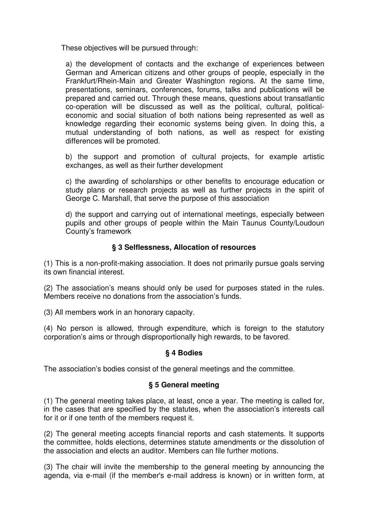These objectives will be pursued through:

a) the development of contacts and the exchange of experiences between German and American citizens and other groups of people, especially in the Frankfurt/Rhein-Main and Greater Washington regions. At the same time, presentations, seminars, conferences, forums, talks and publications will be prepared and carried out. Through these means, questions about transatlantic co-operation will be discussed as well as the political, cultural, politicaleconomic and social situation of both nations being represented as well as knowledge regarding their economic systems being given. In doing this, a mutual understanding of both nations, as well as respect for existing differences will be promoted.

b) the support and promotion of cultural projects, for example artistic exchanges, as well as their further development

c) the awarding of scholarships or other benefits to encourage education or study plans or research projects as well as further projects in the spirit of George C. Marshall, that serve the purpose of this association

d) the support and carrying out of international meetings, especially between pupils and other groups of people within the Main Taunus County/Loudoun County's framework

# **§ 3 Selflessness, Allocation of resources**

(1) This is a non-profit-making association. It does not primarily pursue goals serving its own financial interest.

(2) The association's means should only be used for purposes stated in the rules. Members receive no donations from the association's funds.

(3) All members work in an honorary capacity.

(4) No person is allowed, through expenditure, which is foreign to the statutory corporation's aims or through disproportionally high rewards, to be favored.

#### **§ 4 Bodies**

The association's bodies consist of the general meetings and the committee.

#### **§ 5 General meeting**

(1) The general meeting takes place, at least, once a year. The meeting is called for, in the cases that are specified by the statutes, when the association's interests call for it or if one tenth of the members request it.

(2) The general meeting accepts financial reports and cash statements. It supports the committee, holds elections, determines statute amendments or the dissolution of the association and elects an auditor. Members can file further motions.

(3) The chair will invite the membership to the general meeting by announcing the agenda, via e-mail (if the member's e-mail address is known) or in written form, at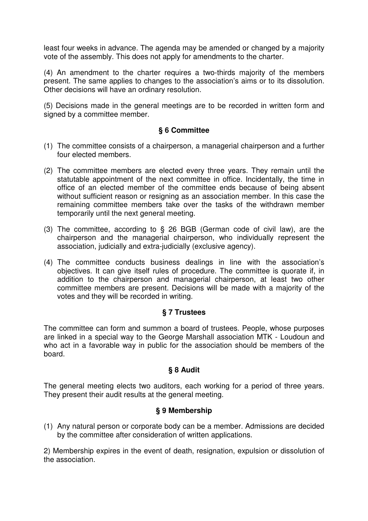least four weeks in advance. The agenda may be amended or changed by a majority vote of the assembly. This does not apply for amendments to the charter.

(4) An amendment to the charter requires a two-thirds majority of the members present. The same applies to changes to the association's aims or to its dissolution. Other decisions will have an ordinary resolution.

(5) Decisions made in the general meetings are to be recorded in written form and signed by a committee member.

# **§ 6 Committee**

- (1) The committee consists of a chairperson, a managerial chairperson and a further four elected members.
- (2) The committee members are elected every three years. They remain until the statutable appointment of the next committee in office. Incidentally, the time in office of an elected member of the committee ends because of being absent without sufficient reason or resigning as an association member. In this case the remaining committee members take over the tasks of the withdrawn member temporarily until the next general meeting.
- (3) The committee, according to § 26 BGB (German code of civil law), are the chairperson and the managerial chairperson, who individually represent the association, judicially and extra-judicially (exclusive agency).
- (4) The committee conducts business dealings in line with the association's objectives. It can give itself rules of procedure. The committee is quorate if, in addition to the chairperson and managerial chairperson, at least two other committee members are present. Decisions will be made with a majority of the votes and they will be recorded in writing.

# **§ 7 Trustees**

The committee can form and summon a board of trustees. People, whose purposes are linked in a special way to the George Marshall association MTK - Loudoun and who act in a favorable way in public for the association should be members of the board.

# **§ 8 Audit**

The general meeting elects two auditors, each working for a period of three years. They present their audit results at the general meeting.

#### **§ 9 Membership**

(1) Any natural person or corporate body can be a member. Admissions are decided by the committee after consideration of written applications.

2) Membership expires in the event of death, resignation, expulsion or dissolution of the association.